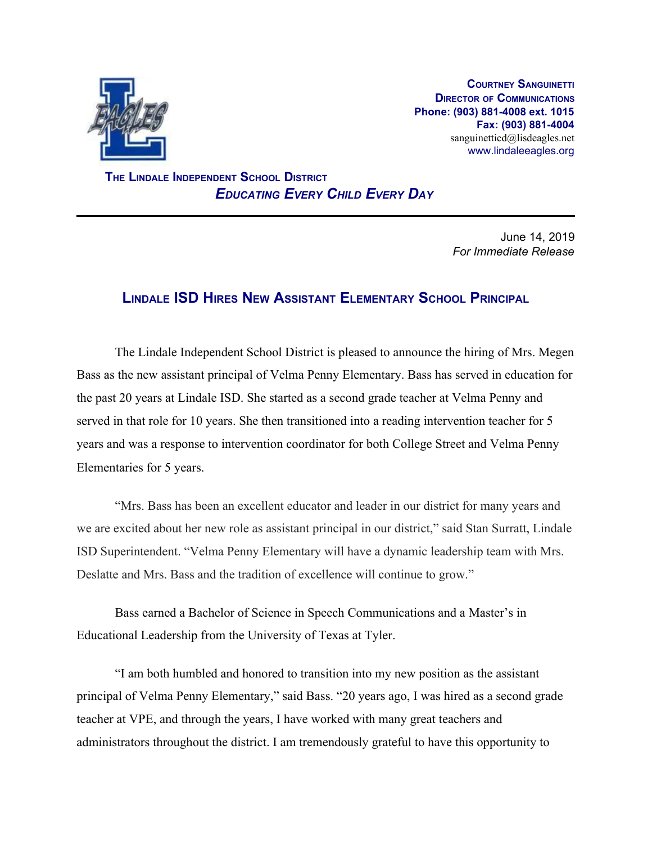

**COURTNEY SANGUINETTI DIRECTOR OF COMMUNICATIONS Phone: (903) 881-4008 ext. 1015 Fax: (903) 881-4004** sanguinetticd@lisdeagles.net www.lindaleeagles.org

 **THE LINDALE INDEPENDENT SCHOOL DISTRICT** *EDUCATING EVERY CHILD EVERY DAY*

> June 14, 2019 *For Immediate Release*

## **LINDALE ISD HIRES NEW ASSISTANT ELEMENTARY SCHOOL PRINCIPAL**

The Lindale Independent School District is pleased to announce the hiring of Mrs. Megen Bass as the new assistant principal of Velma Penny Elementary. Bass has served in education for the past 20 years at Lindale ISD. She started as a second grade teacher at Velma Penny and served in that role for 10 years. She then transitioned into a reading intervention teacher for 5 years and was a response to intervention coordinator for both College Street and Velma Penny Elementaries for 5 years.

"Mrs. Bass has been an excellent educator and leader in our district for many years and we are excited about her new role as assistant principal in our district," said Stan Surratt, Lindale ISD Superintendent. "Velma Penny Elementary will have a dynamic leadership team with Mrs. Deslatte and Mrs. Bass and the tradition of excellence will continue to grow."

Bass earned a Bachelor of Science in Speech Communications and a Master's in Educational Leadership from the University of Texas at Tyler.

"I am both humbled and honored to transition into my new position as the assistant principal of Velma Penny Elementary," said Bass. "20 years ago, I was hired as a second grade teacher at VPE, and through the years, I have worked with many great teachers and administrators throughout the district. I am tremendously grateful to have this opportunity to